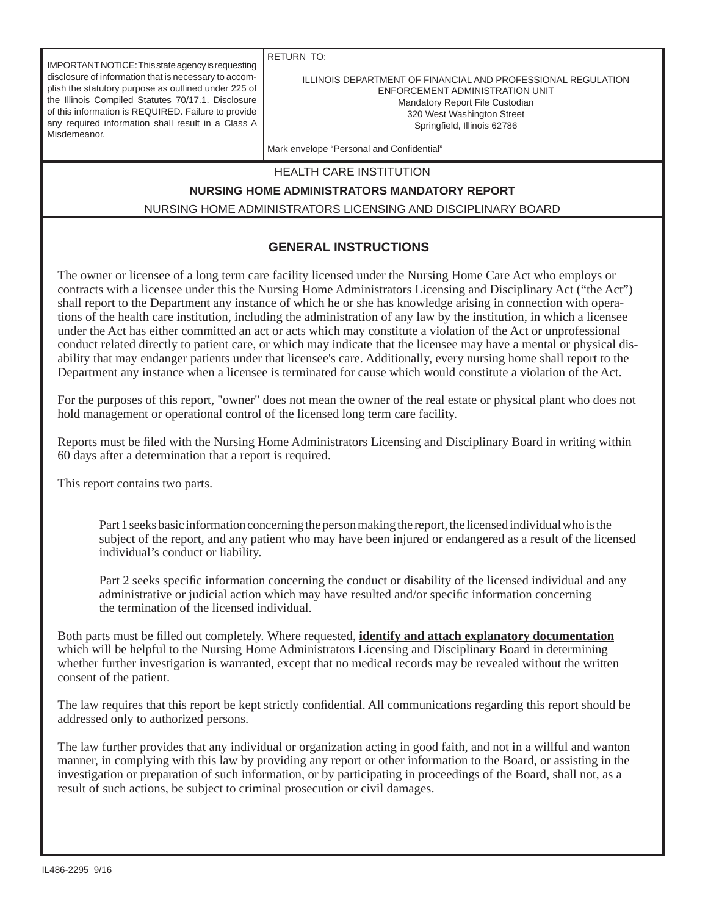IMPORTANT NOTICE: This state agency is requesting disclosure of information that is necessary to accomplish the statutory purpose as outlined under 225 of the Illinois Compiled Statutes 70/17.1. Disclosure of this information is REQUIRED. Failure to provide any required information shall result in a Class A Misdemeanor.

RETURN TO:

#### ILLINOIS DEPARTMENT OF FINANCIAL AND PROFESSIONAL REGULATION ENFORCEMENT ADMINISTRATION UNIT Mandatory Report File Custodian 320 West Washington Street Springfield, Illinois 62786

Mark envelope "Personal and Confidential"

#### HEALTH CARE INSTITUTION

### **NURSING HOME ADMINISTRATORS MANDATORY REPORT**

NURSING HOME ADMINISTRATORS LICENSING AND DISCIPLINARY BOARD

## **GENERAL INSTRUCTIONS**

The owner or licensee of a long term care facility licensed under the Nursing Home Care Act who employs or contracts with a licensee under this the Nursing Home Administrators Licensing and Disciplinary Act ("the Act") shall report to the Department any instance of which he or she has knowledge arising in connection with operations of the health care institution, including the administration of any law by the institution, in which a licensee under the Act has either committed an act or acts which may constitute a violation of the Act or unprofessional conduct related directly to patient care, or which may indicate that the licensee may have a mental or physical disability that may endanger patients under that licensee's care. Additionally, every nursing home shall report to the Department any instance when a licensee is terminated for cause which would constitute a violation of the Act.

For the purposes of this report, "owner" does not mean the owner of the real estate or physical plant who does not hold management or operational control of the licensed long term care facility.

Reports must be filed with the Nursing Home Administrators Licensing and Disciplinary Board in writing within 60 days after a determination that a report is required.

This report contains two parts.

 Part 1 seeks basic information concerning the person making the report, the licensed individual who is the subject of the report, and any patient who may have been injured or endangered as a result of the licensed individual's conduct or liability.

Part 2 seeks specific information concerning the conduct or disability of the licensed individual and any administrative or judicial action which may have resulted and/or specific information concerning the termination of the licensed individual.

Both parts must be filled out completely. Where requested, **identify and attach explanatory documentation** which will be helpful to the Nursing Home Administrators Licensing and Disciplinary Board in determining whether further investigation is warranted, except that no medical records may be revealed without the written consent of the patient.

The law requires that this report be kept strictly confidential. All communications regarding this report should be addressed only to authorized persons.

The law further provides that any individual or organization acting in good faith, and not in a willful and wanton manner, in complying with this law by providing any report or other information to the Board, or assisting in the investigation or preparation of such information, or by participating in proceedings of the Board, shall not, as a result of such actions, be subject to criminal prosecution or civil damages.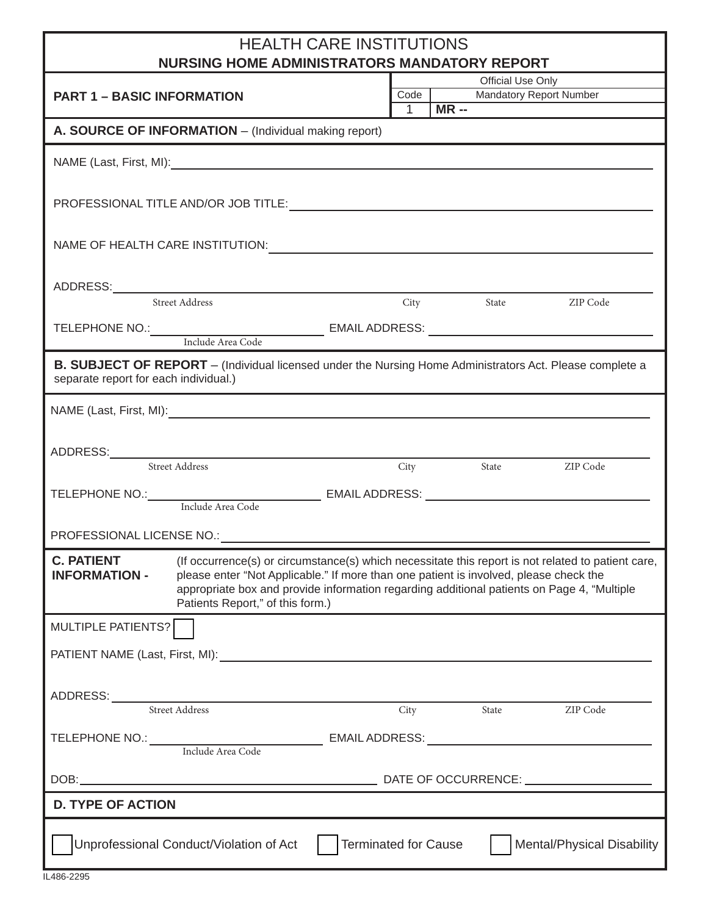# HEALTH CARE INSTITUTIONS

| NURSING HOME ADMINISTRATORS MANDATORY REPORT                                                                                                                                                                                                                                                                                                                            |                           |                                                |  |  |  |
|-------------------------------------------------------------------------------------------------------------------------------------------------------------------------------------------------------------------------------------------------------------------------------------------------------------------------------------------------------------------------|---------------------------|------------------------------------------------|--|--|--|
| <b>PART 1 - BASIC INFORMATION</b>                                                                                                                                                                                                                                                                                                                                       | Official Use Only<br>Code |                                                |  |  |  |
|                                                                                                                                                                                                                                                                                                                                                                         | $^{-}$ 1                  | <b>Mandatory Report Number</b><br><b>MR --</b> |  |  |  |
| A. SOURCE OF INFORMATION - (Individual making report)                                                                                                                                                                                                                                                                                                                   |                           |                                                |  |  |  |
| NAME (Last, First, MI): 1994                                                                                                                                                                                                                                                                                                                                            |                           |                                                |  |  |  |
|                                                                                                                                                                                                                                                                                                                                                                         |                           |                                                |  |  |  |
| NAME OF HEALTH CARE INSTITUTION: UNIVERSITY OF A SERVICE OF HEALTH CARE IN                                                                                                                                                                                                                                                                                              |                           |                                                |  |  |  |
| ADDRESS:<br>Street Address City                                                                                                                                                                                                                                                                                                                                         |                           | City State ZIP Code                            |  |  |  |
|                                                                                                                                                                                                                                                                                                                                                                         |                           |                                                |  |  |  |
| <b>B. SUBJECT OF REPORT</b> – (Individual licensed under the Nursing Home Administrators Act. Please complete a<br>separate report for each individual.)                                                                                                                                                                                                                |                           |                                                |  |  |  |
|                                                                                                                                                                                                                                                                                                                                                                         |                           |                                                |  |  |  |
| ADDRESS: Street Address City                                                                                                                                                                                                                                                                                                                                            |                           |                                                |  |  |  |
|                                                                                                                                                                                                                                                                                                                                                                         |                           | City State ZIP Code                            |  |  |  |
|                                                                                                                                                                                                                                                                                                                                                                         |                           |                                                |  |  |  |
|                                                                                                                                                                                                                                                                                                                                                                         |                           |                                                |  |  |  |
| <b>C. PATIENT</b> (If occurrence(s) or circumstance(s) which necessitate this report is not related to patient care,<br>please enter "Not Applicable." If more than one patient is involved, please check the<br><b>INFORMATION -</b><br>appropriate box and provide information regarding additional patients on Page 4, "Multiple<br>Patients Report," of this form.) |                           |                                                |  |  |  |
| MULTIPLE PATIENTS?                                                                                                                                                                                                                                                                                                                                                      |                           |                                                |  |  |  |
| PATIENT NAME (Last, First, MI): 1999. The Second Second Second Second Second Second Second Second Second Second Second Second Second Second Second Second Second Second Second Second Second Second Second Second Second Secon                                                                                                                                          |                           |                                                |  |  |  |
| ADDRESS: Street Address City State ZIP Code                                                                                                                                                                                                                                                                                                                             |                           |                                                |  |  |  |
|                                                                                                                                                                                                                                                                                                                                                                         |                           |                                                |  |  |  |
| TELEPHONE NO.: Include Area Code EMAIL ADDRESS: _________________________________                                                                                                                                                                                                                                                                                       |                           |                                                |  |  |  |
|                                                                                                                                                                                                                                                                                                                                                                         |                           |                                                |  |  |  |
| <b>D. TYPE OF ACTION</b>                                                                                                                                                                                                                                                                                                                                                |                           |                                                |  |  |  |
| Unprofessional Conduct/Violation of Act<br><b>Terminated for Cause</b>                                                                                                                                                                                                                                                                                                  |                           | <b>Mental/Physical Disability</b>              |  |  |  |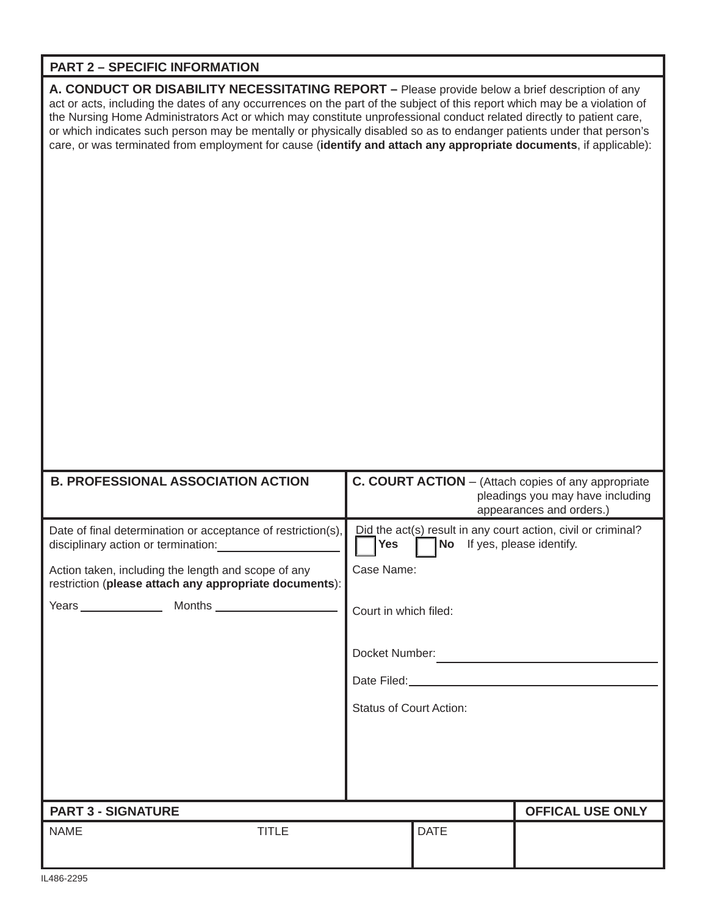# **PART 2 – SPECIFIC INFORMATION**

**A. CONDUCT OR DISABILITY NECESSITATING REPORT –** Please provide below a brief description of any